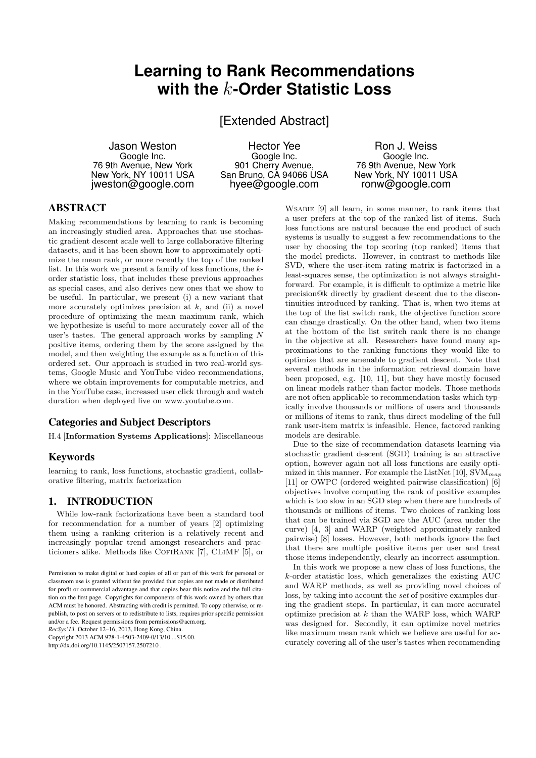# **Learning to Rank Recommendations with the** k**-Order Statistic Loss**

[Extended Abstract]

Jason Weston Google Inc. 76 9th Avenue, New York New York, NY 10011 USA jweston@google.com

Hector Yee Google Inc. 901 Cherry Avenue, San Bruno, CA 94066 USA hyee@google.com

Ron J. Weiss Google Inc. 76 9th Avenue, New York New York, NY 10011 USA ronw@google.com

# ABSTRACT

Making recommendations by learning to rank is becoming an increasingly studied area. Approaches that use stochastic gradient descent scale well to large collaborative filtering datasets, and it has been shown how to approximately optimize the mean rank, or more recently the top of the ranked list. In this work we present a family of loss functions, the korder statistic loss, that includes these previous approaches as special cases, and also derives new ones that we show to be useful. In particular, we present (i) a new variant that more accurately optimizes precision at  $k$ , and (ii) a novel procedure of optimizing the mean maximum rank, which we hypothesize is useful to more accurately cover all of the user's tastes. The general approach works by sampling N positive items, ordering them by the score assigned by the model, and then weighting the example as a function of this ordered set. Our approach is studied in two real-world systems, Google Music and YouTube video recommendations, where we obtain improvements for computable metrics, and in the YouTube case, increased user click through and watch duration when deployed live on www.youtube.com.

## Categories and Subject Descriptors

H.4 [Information Systems Applications]: Miscellaneous

## Keywords

learning to rank, loss functions, stochastic gradient, collaborative filtering, matrix factorization

## 1. INTRODUCTION

While low-rank factorizations have been a standard tool for recommendation for a number of years [2] optimizing them using a ranking criterion is a relatively recent and increasingly popular trend amongst researchers and practicioners alike. Methods like COFIRANK [7], CLIMF [5], or

*RecSys'13,* October 12–16, 2013, Hong Kong, China.

Copyright 2013 ACM 978-1-4503-2409-0/13/10 ...\$15.00.

http://dx.doi.org/10.1145/2507157.2507210 .

Wsabie [9] all learn, in some manner, to rank items that a user prefers at the top of the ranked list of items. Such loss functions are natural because the end product of such systems is usually to suggest a few recommendations to the user by choosing the top scoring (top ranked) items that the model predicts. However, in contrast to methods like SVD, where the user-item rating matrix is factorized in a least-squares sense, the optimization is not always straightforward. For example, it is difficult to optimize a metric like precision@k directly by gradient descent due to the discontinuities introduced by ranking. That is, when two items at the top of the list switch rank, the objective function score can change drastically. On the other hand, when two items at the bottom of the list switch rank there is no change in the objective at all. Researchers have found many approximations to the ranking functions they would like to optimize that are amenable to gradient descent. Note that several methods in the information retrieval domain have been proposed, e.g. [10, 11], but they have mostly focused on linear models rather than factor models. Those methods are not often applicable to recommendation tasks which typically involve thousands or millions of users and thousands or millions of items to rank, thus direct modeling of the full rank user-item matrix is infeasible. Hence, factored ranking models are desirable.

Due to the size of recommendation datasets learning via stochastic gradient descent (SGD) training is an attractive option, however again not all loss functions are easily optimized in this manner. For example the ListNet [10],  $\text{SVM}_{map}$ [11] or OWPC (ordered weighted pairwise classification) [6] objectives involve computing the rank of positive examples which is too slow in an SGD step when there are hundreds of thousands or millions of items. Two choices of ranking loss that can be trained via SGD are the AUC (area under the curve) [4, 3] and WARP (weighted approximately ranked pairwise) [8] losses. However, both methods ignore the fact that there are multiple positive items per user and treat those items independently, clearly an incorrect assumption.

In this work we propose a new class of loss functions, the k-order statistic loss, which generalizes the existing AUC and WARP methods, as well as providing novel choices of loss, by taking into account the set of positive examples during the gradient steps. In particular, it can more accuratel optimize precision at  $k$  than the WARP loss, which WARP was designed for. Secondly, it can optimize novel metrics like maximum mean rank which we believe are useful for accurately covering all of the user's tastes when recommending

Permission to make digital or hard copies of all or part of this work for personal or classroom use is granted without fee provided that copies are not made or distributed for profit or commercial advantage and that copies bear this notice and the full citation on the first page. Copyrights for components of this work owned by others than ACM must be honored. Abstracting with credit is permitted. To copy otherwise, or republish, to post on servers or to redistribute to lists, requires prior specific permission and/or a fee. Request permissions from permissions@acm.org.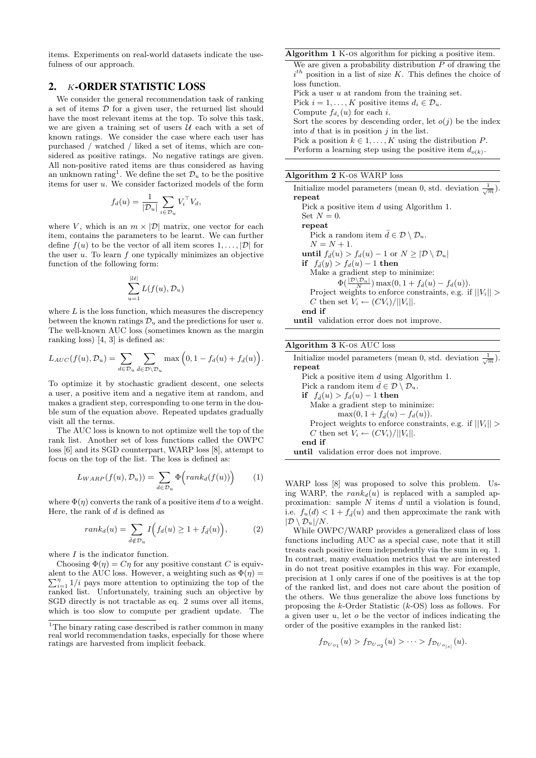items. Experiments on real-world datasets indicate the usefulness of our approach.

# 2. K-ORDER STATISTIC LOSS

We consider the general recommendation task of ranking a set of items D for a given user, the returned list should have the most relevant items at the top. To solve this task, we are given a training set of users  $U$  each with a set of known ratings. We consider the case where each user has purchased / watched / liked a set of items, which are considered as positive ratings. No negative ratings are given. All non-positive rated items are thus considered as having an unknown rating<sup>1</sup>. We define the set  $\mathcal{D}_u$  to be the positive items for user u. We consider factorized models of the form

$$
f_d(u) = \frac{1}{|\mathcal{D}_u|} \sum_{i \in \mathcal{D}_u} V_i^{\top} V_d,
$$

where V, which is an  $m \times |\mathcal{D}|$  matrix, one vector for each item, contains the parameters to be learnt. We can further define  $f(u)$  to be the vector of all item scores  $1, \ldots, |\mathcal{D}|$  for the user  $u$ . To learn  $f$  one typically minimizes an objective function of the following form:

$$
\sum_{u=1}^{|{\mathcal U}|} L(f(u),{\mathcal D}_u)
$$

where  $L$  is the loss function, which measures the discrepency between the known ratings  $\mathcal{D}_u$  and the predictions for user u. The well-known AUC loss (sometimes known as the margin ranking loss) [4, 3] is defined as:

$$
L_{AUC}(f(u), \mathcal{D}_u) = \sum_{d \in \mathcal{D}_u} \sum_{\bar{d} \in \mathcal{D} \setminus \mathcal{D}_u} \max\Big(0, 1 - f_d(u) + f_{\bar{d}}(u)\Big).
$$

To optimize it by stochastic gradient descent, one selects a user, a positive item and a negative item at random, and makes a gradient step, corresponding to one term in the double sum of the equation above. Repeated updates gradually visit all the terms.

The AUC loss is known to not optimize well the top of the rank list. Another set of loss functions called the OWPC loss [6] and its SGD counterpart, WARP loss [8], attempt to focus on the top of the list. The loss is defined as:

$$
L_{WARP}(f(u), \mathcal{D}_u)) = \sum_{d \in \mathcal{D}_u} \Phi\Big( rank_d(f(u)) \Big) \tag{1}
$$

where  $\Phi(\eta)$  converts the rank of a positive item d to a weight. Here, the rank of  $d$  is defined as

$$
rank_d(u) = \sum_{\bar{d} \notin \mathcal{D}_u} I\Big(f_d(u) \ge 1 + f_{\bar{d}}(u)\Big),\tag{2}
$$

where  $I$  is the indicator function.

Choosing  $\Phi(\eta) = C\eta$  for any positive constant C is equivalent to the AUC loss. However, a weighting such as  $\Phi(\eta) =$  $\sum_{i=1}^{n} 1/i$  pays more attention to optimizing the top of the ranked list. Unfortunately, training such an objective by SGD directly is not tractable as eq. 2 sums over all items, which is too slow to compute per gradient update. The Algorithm 1 K-os algorithm for picking a positive item. We are given a probability distribution  $P$  of drawing the  $i<sup>th</sup>$  position in a list of size K. This defines the choice of loss function. Pick a user  $u$  at random from the training set. Pick  $i = 1, ..., K$  positive items  $d_i \in \mathcal{D}_u$ . Compute  $f_{d_i}(u)$  for each i. Sort the scores by descending order, let  $o(j)$  be the index into  $d$  that is in position  $j$  in the list. Pick a position  $k \in 1, ..., K$  using the distribution P.

Perform a learning step using the positive item  $d_{o(k)}$ .

### Algorithm 2 K-os WARP loss

Initialize model parameters (mean 0, std. deviation  $\frac{1}{\sqrt{m}}$ ). repeat Pick a positive item d using Algorithm 1. Set  $N = 0$ . repeat Pick a random item  $\bar{d} \in \mathcal{D} \setminus \mathcal{D}_u$ .  $N = N + 1.$ **until**  $f_{\bar{d}}(u) > f_d(u) - 1$  or  $N ≥ |\mathcal{D} \setminus \mathcal{D}_u|$ if  $f_{\bar{d}}(y) > f_d(u) - 1$  then Make a gradient step to minimize:  $\Phi(\frac{|\mathcal{D}\setminus\mathcal{D}_u|}{N})\max(0, 1 + f_{\bar{d}}(u) - f_d(u)).$ Project weights to enforce constraints, e.g. if  $||V_i||$ C then set  $V_i \leftarrow (CV_i)/||V_i||$ . end if until validation error does not improve.

#### Algorithm 3 K-os AUC loss

Initialize model parameters (mean 0, std. deviation  $\frac{1}{\sqrt{m}}$ ). repeat Pick a positive item d using Algorithm 1. Pick a random item  $\bar{d} \in \mathcal{D} \setminus \mathcal{D}_u$ . if  $f_{\bar{d}}(u) > f_d(u) - 1$  then Make a gradient step to minimize:  $\max(0, 1 + f_{\bar{d}}(u) - f_d(u)).$ Project weights to enforce constraints, e.g. if  $||V_i||$ C then set  $V_i \leftarrow (CV_i)/||V_i||$ . end if until validation error does not improve.

WARP loss [8] was proposed to solve this problem. Using WARP, the  $rank_d(u)$  is replaced with a sampled approximation: sample N items  $\bar{d}$  until a violation is found, i.e.  $f_u(d) < 1 + f_{\bar{d}}(u)$  and then approximate the rank with  $|\mathcal{D} \setminus \mathcal{D}_u|/N$ .

While OWPC/WARP provides a generalized class of loss functions including AUC as a special case, note that it still treats each positive item independently via the sum in eq. 1. In contrast, many evaluation metrics that we are interested in do not treat positive examples in this way. For example, precision at 1 only cares if one of the positives is at the top of the ranked list, and does not care about the position of the others. We thus generalize the above loss functions by proposing the k-Order Statistic (k-OS) loss as follows. For a given user  $u$ , let  $o$  be the vector of indices indicating the order of the positive examples in the ranked list:

$$
f_{\mathcal{D}_{U_{o_1}}}(u) > f_{\mathcal{D}_{U_{o_2}}}(u) > \cdots > f_{\mathcal{D}_{U_{o_{|s|}}}}(u).
$$

<sup>&</sup>lt;sup>1</sup>The binary rating case described is rather common in many real world recommendation tasks, especially for those where ratings are harvested from implicit feeback.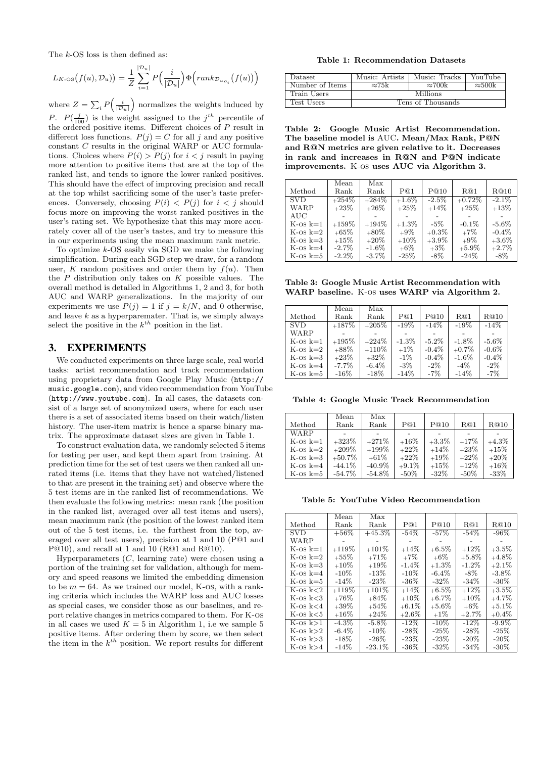The  $k$ -OS loss is then defined as:

$$
L_{K\text{-OS}}(f(u), \mathcal{D}_u) = \frac{1}{Z} \sum_{i=1}^{|\mathcal{D}_u|} P\left(\frac{i}{|\mathcal{D}_u|}\right) \Phi\left(\text{rank}_{\mathcal{D}_{u_{o_i}}}(f(u))\right)
$$

where  $Z = \sum_i P\left(\frac{i}{|\mathcal{D}_u|}\right)$  normalizes the weights induced by P.  $P(\frac{j}{100})$  is the weight assigned to the j<sup>th</sup> percentile of the ordered positive items. Different choices of P result in different loss functions.  $P(j) = C$  for all j and any positive constant C results in the original WARP or AUC formulations. Choices where  $P(i) > P(j)$  for  $i < j$  result in paying more attention to positive items that are at the top of the ranked list, and tends to ignore the lower ranked positives. This should have the effect of improving precision and recall at the top whilst sacrificing some of the user's taste preferences. Conversely, choosing  $P(i) < P(j)$  for  $i < j$  should focus more on improving the worst ranked positives in the user's rating set. We hypothesize that this may more accurately cover all of the user's tastes, and try to measure this in our experiments using the mean maximum rank metric.

To optimize  $k$ -OS easily via SGD we make the following simplification. During each SGD step we draw, for a random user, K random positives and order them by  $f(u)$ . Then the  $P$  distribution only takes on  $K$  possible values. The overall method is detailed in Algorithms 1, 2 and 3, for both AUC and WARP generalizations. In the majority of our experiments we use  $P(j) = 1$  if  $j = k/N$ , and 0 otherwise, and leave  $k$  as a hyperparemater. That is, we simply always select the positive in the  $k^{th}$  position in the list.

#### 3. EXPERIMENTS

We conducted experiments on three large scale, real world tasks: artist recommendation and track recommendation using proprietary data from Google Play Music (http:// music.google.com), and video recommendation from YouTube (http://www.youtube.com). In all cases, the datasets consist of a large set of anonymized users, where for each user there is a set of associated items based on their watch/listen history. The user-item matrix is hence a sparse binary matrix. The approximate dataset sizes are given in Table 1.

To construct evaluation data, we randomly selected 5 items for testing per user, and kept them apart from training. At prediction time for the set of test users we then ranked all unrated items (i.e. items that they have not watched/listened to that are present in the training set) and observe where the 5 test items are in the ranked list of recommendations. We then evaluate the following metrics: mean rank (the position in the ranked list, averaged over all test items and users), mean maximum rank (the position of the lowest ranked item out of the 5 test items, i.e. the furthest from the top, averaged over all test users), precision at 1 and 10 (P@1 and P@10), and recall at 1 and 10 (R@1 and R@10).

Hyperparameters (C, learning rate) were chosen using a portion of the training set for validation, although for memory and speed reasons we limited the embedding dimension to be  $m = 64$ . As we trained our model, K-OS, with a ranking criteria which includes the WARP loss and AUC losses as special cases, we consider those as our baselines, and report relative changes in metrics compared to them. For K-os in all cases we used  $K = 5$  in Algorithm 1, i.e we sample 5 positive items. After ordering them by score, we then select the item in the  $k^{th}$  position. We report results for different

Table 1: Recommendation Datasets

| Dataset.        | Music: Artists        | Music: Tracks  | YouTube        |  |  |  |
|-----------------|-----------------------|----------------|----------------|--|--|--|
| Number of Items | $\approx75\mathrm{k}$ | $\approx 700k$ | $\approx 500k$ |  |  |  |
| Train Users     | Millions              |                |                |  |  |  |
| Test Users      | Tens of Thousands     |                |                |  |  |  |

Table 2: Google Music Artist Recommendation. The baseline model is AUC. Mean/Max Rank, P@N and R@N metrics are given relative to it. Decreases in rank and increases in R@N and P@N indicate improvements. K-os uses AUC via Algorithm 3.

|               | Mean     | Max      |          |          |           |          |
|---------------|----------|----------|----------|----------|-----------|----------|
| Method        | Rank     | Rank     | P@1      | P@10     | R@1       | R@10     |
| SVD           | $+254\%$ | $+284\%$ | $+1.6\%$ | $-2.5\%$ | $+0.72\%$ | $-2.1\%$ |
| <b>WARP</b>   | $+23\%$  | $+26\%$  | $+25\%$  | $+14\%$  | $+25%$    | $+13%$   |
| <b>AUC</b>    |          |          |          |          |           |          |
| $K$ -os $k=1$ | $+159%$  | $+194%$  | $+1.3\%$ | $-5\%$   | $-0.1\%$  | $-5.6\%$ |
| $K$ -os $k=2$ | $+65\%$  | $+80\%$  | $+9\%$   | $+0.3\%$ | $+7\%$    | $-0.4\%$ |
| $K$ -os $k=3$ | $+15\%$  | $+20\%$  | $+10\%$  | $+3.9\%$ | $+9\%$    | $+3.6\%$ |
| $K$ -os $k=4$ | $-2.7\%$ | $-1.6\%$ | $+6\%$   | $+3\%$   | $+5.9\%$  | $+2.7\%$ |
| $K$ -os $k=5$ | $-2.2\%$ | $-3.7\%$ | $-25\%$  | $-8\%$   | $-24\%$   | $-8\%$   |

Table 3: Google Music Artist Recommendation with WARP baseline. K-os uses WARP via Algorithm 2.

|               | Mean     | Max      |         |          |          |          |
|---------------|----------|----------|---------|----------|----------|----------|
| Method        | Rank     | Rank     | P@1     | P@10     | R@1      | R@10     |
| <b>SVD</b>    | $+187%$  | $+205%$  | $-19%$  | $-14%$   | $-19%$   | $-14%$   |
| <b>WARP</b>   |          |          |         |          |          |          |
| $K$ -os $k=1$ | $+195%$  | $+224\%$ | $-1.3%$ | $-5.2\%$ | $-1.8\%$ | $-5.6%$  |
| $K$ -os $k=2$ | $+88\%$  | $+110%$  | $+1\%$  | $-0.4\%$ | $+0.7\%$ | $-0.6\%$ |
| $K$ -os $k=3$ | $+23\%$  | $+32\%$  | $-1\%$  | $-0.4\%$ | $-1.6\%$ | $-0.4\%$ |
| $K$ -os $k=4$ | $-7.7\%$ | $-6.4\%$ | $-3\%$  | $-2\%$   | $-4\%$   | $-2\%$   |
| $K$ -os $k=5$ | $-16\%$  | $-18\%$  | $-14%$  | $-7\%$   | $-14%$   | $-7\%$   |

Table 4: Google Music Track Recommendation

|               | Mean      | Max       |          |          |         |          |
|---------------|-----------|-----------|----------|----------|---------|----------|
| Method        | Rank      | Rank      | P@1      | P@10     | R@1     | R@10     |
| <b>WARP</b>   |           |           |          |          |         |          |
| $K$ -os $k=1$ | $+323%$   | $+271%$   | $+16\%$  | $+3.3\%$ | $+17%$  | $+4.3\%$ |
| $K$ -OS $k=2$ | $+209\%$  | $+199\%$  | $+22\%$  | $+14\%$  | $+23%$  | $+15%$   |
| $K$ -os $k=3$ | $+50.7\%$ | $+61\%$   | $+22\%$  | $+19%$   | $+22\%$ | $+20\%$  |
| $K$ -os $k=4$ | $-44.1\%$ | $-40.9\%$ | $+9.1\%$ | $+15\%$  | $+12\%$ | $+16\%$  |
| $K$ -os $k=5$ | $-54.7\%$ | $-54.8\%$ | $-50\%$  | $-32\%$  | $-50\%$ | $-33%$   |

Table 5: YouTube Video Recommendation

|                 | Mean     | Max       |          |          |          |          |
|-----------------|----------|-----------|----------|----------|----------|----------|
| Method          | Rank     | Rank      | P@1      | P@10     | R@1      | R@10     |
| <b>SVD</b>      | $+56\%$  | $+45.3\%$ | $-54\%$  | $-57\%$  | $-54\%$  | $-96\%$  |
| WARP            |          |           |          |          |          |          |
| $K$ -os $k=1$   | $+119%$  | $+101\%$  | $+14\%$  | $+6.5\%$ | $+12\%$  | $+3.5\%$ |
| $K$ -os $k=2$   | $+55\%$  | $+71%$    | $+7\%$   | $+6\%$   | $+5.8\%$ | $+4.8\%$ |
| $K$ -OS $k=3$   | $+10\%$  | $+19\%$   | $-1.4\%$ | $+1.3\%$ | $-1.2\%$ | $+2.1\%$ |
| $K$ -OS $k=4$   | $-10\%$  | $-13\%$   | $-10\%$  | $-6.4\%$ | $-8\%$   | $-3.8\%$ |
| $K$ -os $k=5$   | $-14\%$  | $-23\%$   | $-36\%$  | $-32\%$  | $-34\%$  | $-30\%$  |
| $K-OS k<2$      | $+119%$  | $+101%$   | $+14\%$  | $+6.5\%$ | $+12\%$  | $+3.5\%$ |
| $K$ -os $k<3$   | $+76\%$  | $+84\%$   | $+10\%$  | $+6.7\%$ | $+10\%$  | $+4.7\%$ |
| $K$ -OS $k<4$   | $+39\%$  | $+54\%$   | $+6.1\%$ | $+5.6\%$ | $+6\%$   | $+5.1\%$ |
| $K$ -OS $k<5$   | $+16\%$  | $+24\%$   | $+2.6\%$ | $+1\%$   | $+2.7\%$ | $+0.4\%$ |
| $K$ -OS $k>1$   | $-4.3\%$ | $-5.8\%$  | $-12\%$  | $-10\%$  | $-12%$   | $-9.9\%$ |
| $K$ -OS $k>2$   | $-6.4\%$ | $-10\%$   | $-28\%$  | $-25%$   | $-28\%$  | $-25%$   |
| $K$ -os $k > 3$ | $-18\%$  | $-26\%$   | $-23%$   | $-23\%$  | $-20\%$  | $-20\%$  |
| $K$ -OS $k>4$   | $-14\%$  | $-23.1\%$ | $-36\%$  | $-32\%$  | $-34\%$  | $-30\%$  |